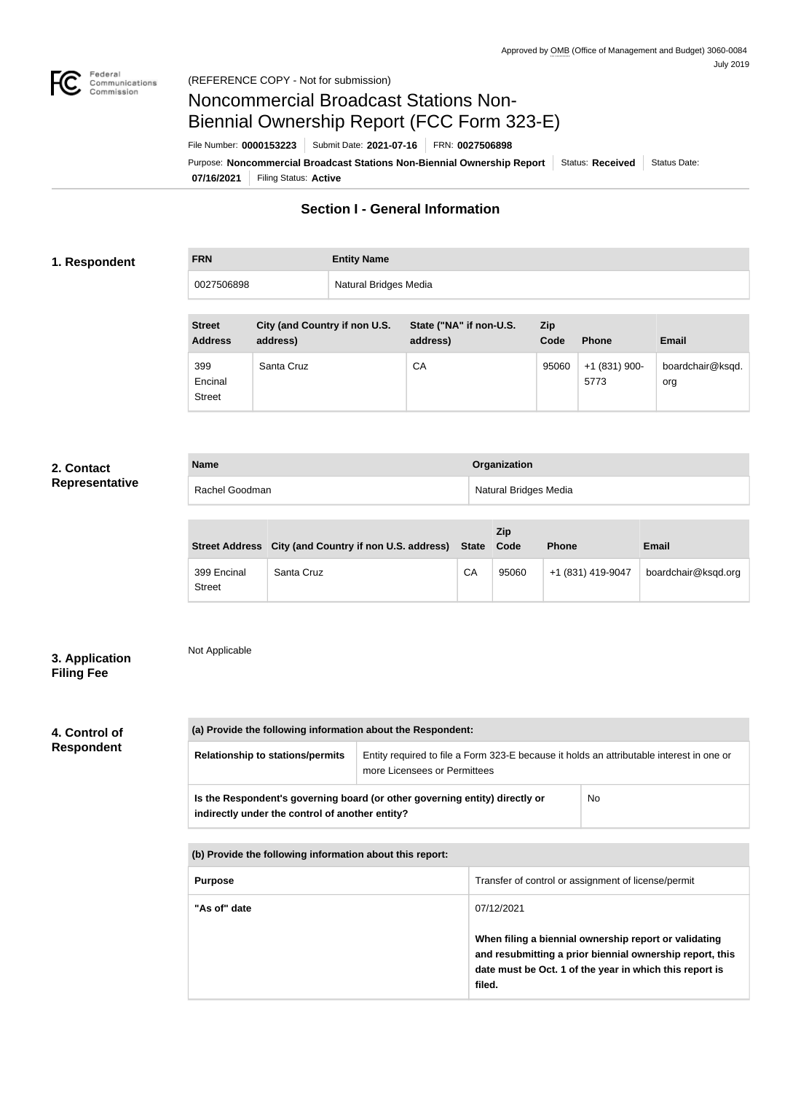

# Noncommercial Broadcast Stations Non-Biennial Ownership Report (FCC Form 323-E)

File Number: **0000153223** Submit Date: **2021-07-16** FRN: **0027506898**

**07/16/2021** Filing Status: **Active** Purpose: Noncommercial Broadcast Stations Non-Biennial Ownership Report Status: Received Status Date:

## **Section I - General Information**

### **1. Respondent**

| Natural Bridges Media<br>0027506898 | <b>FRN</b> | <b>Entity Name</b> |
|-------------------------------------|------------|--------------------|
|                                     |            |                    |

| <b>Street</b><br><b>Address</b> | City (and Country if non U.S.<br>address) | State ("NA" if non-U.S.<br>address) | Zip<br>Code | <b>Phone</b>           | <b>Email</b>            |
|---------------------------------|-------------------------------------------|-------------------------------------|-------------|------------------------|-------------------------|
| 399<br>Encinal<br><b>Street</b> | Santa Cruz                                | CA                                  | 95060       | $+1(831)$ 900-<br>5773 | boardchair@ksqd.<br>org |

### **2. Contact Representative**

| <b>Name</b>    | Organization          |
|----------------|-----------------------|
| Rachel Goodman | Natural Bridges Media |

|                              | Street Address City (and Country if non U.S. address) State Code |    | <b>Zip</b> | <b>Phone</b>      | <b>Email</b>        |
|------------------------------|------------------------------------------------------------------|----|------------|-------------------|---------------------|
| 399 Encinal<br><b>Street</b> | Santa Cruz                                                       | CA | 95060      | +1 (831) 419-9047 | boardchair@ksqd.org |

### **3. Application Filing Fee**

# Not Applicable

# **4. Control of**

**Respondent**

**(a) Provide the following information about the Respondent: Relationship to stations/permits** | Entity required to file a Form 323-E because it holds an attributable interest in one or more Licensees or Permittees **Is the Respondent's governing board (or other governing entity) directly or indirectly under the control of another entity?** No

**(b) Provide the following information about this report:**

| <b>Purpose</b> | Transfer of control or assignment of license/permit                                                                                                                                    |
|----------------|----------------------------------------------------------------------------------------------------------------------------------------------------------------------------------------|
| "As of" date   | 07/12/2021                                                                                                                                                                             |
|                | When filing a biennial ownership report or validating<br>and resubmitting a prior biennial ownership report, this<br>date must be Oct. 1 of the year in which this report is<br>filed. |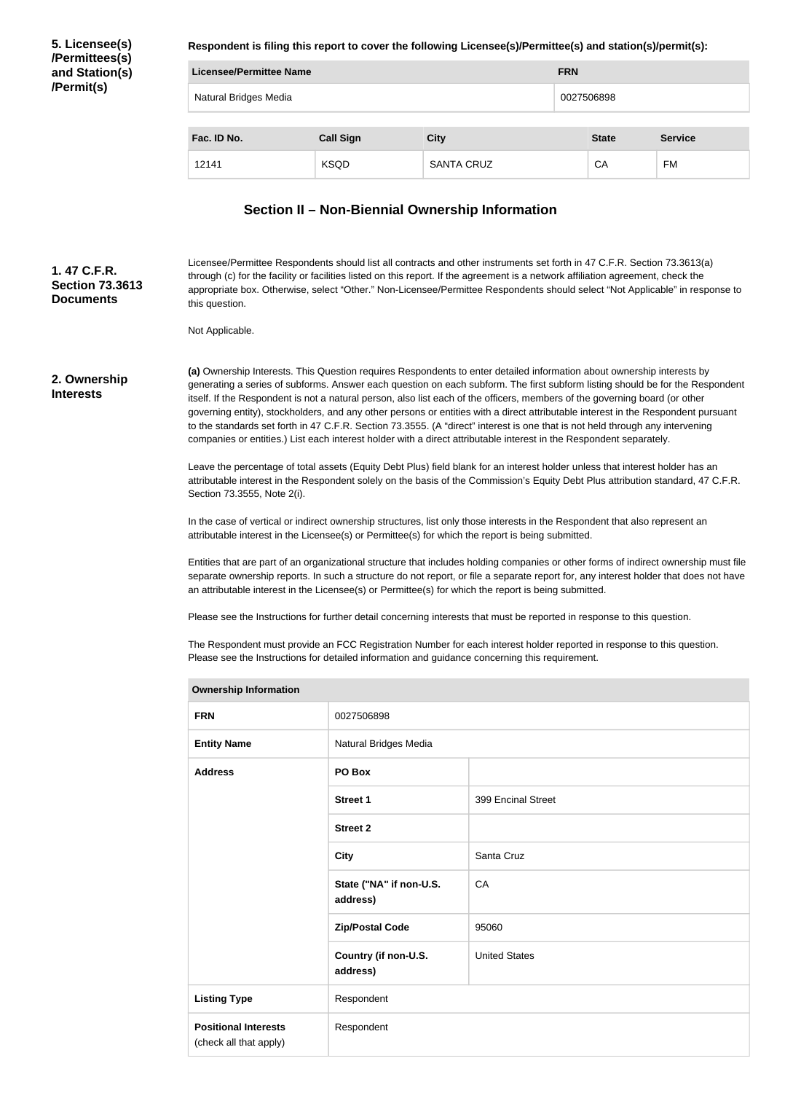**5. Licensee(s) /Permittees(s) and Station(s) /Permit(s)**

**Respondent is filing this report to cover the following Licensee(s)/Permittee(s) and station(s)/permit(s):**

|                       | Licensee/Permittee Name |                   |  | <b>FRN</b>   |                |  |
|-----------------------|-------------------------|-------------------|--|--------------|----------------|--|
| Natural Bridges Media |                         | 0027506898        |  |              |                |  |
|                       |                         |                   |  |              |                |  |
| Fac. ID No.           | <b>Call Sign</b>        | <b>City</b>       |  | <b>State</b> | <b>Service</b> |  |
| 12141                 | <b>KSQD</b>             | <b>SANTA CRUZ</b> |  | CA           | <b>FM</b>      |  |

### **Section II – Non-Biennial Ownership Information**

Licensee/Permittee Respondents should list all contracts and other instruments set forth in 47 C.F.R. Section 73.3613(a) through (c) for the facility or facilities listed on this report. If the agreement is a network affiliation agreement, check the appropriate box. Otherwise, select "Other." Non-Licensee/Permittee Respondents should select "Not Applicable" in response to this question. **1. 47 C.F.R. Section 73.3613 Documents**

Not Applicable.

#### **2. Ownership Interests**

**(a)** Ownership Interests. This Question requires Respondents to enter detailed information about ownership interests by generating a series of subforms. Answer each question on each subform. The first subform listing should be for the Respondent itself. If the Respondent is not a natural person, also list each of the officers, members of the governing board (or other governing entity), stockholders, and any other persons or entities with a direct attributable interest in the Respondent pursuant to the standards set forth in 47 C.F.R. Section 73.3555. (A "direct" interest is one that is not held through any intervening companies or entities.) List each interest holder with a direct attributable interest in the Respondent separately.

Leave the percentage of total assets (Equity Debt Plus) field blank for an interest holder unless that interest holder has an attributable interest in the Respondent solely on the basis of the Commission's Equity Debt Plus attribution standard, 47 C.F.R. Section 73.3555, Note 2(i).

In the case of vertical or indirect ownership structures, list only those interests in the Respondent that also represent an attributable interest in the Licensee(s) or Permittee(s) for which the report is being submitted.

Entities that are part of an organizational structure that includes holding companies or other forms of indirect ownership must file separate ownership reports. In such a structure do not report, or file a separate report for, any interest holder that does not have an attributable interest in the Licensee(s) or Permittee(s) for which the report is being submitted.

Please see the Instructions for further detail concerning interests that must be reported in response to this question.

The Respondent must provide an FCC Registration Number for each interest holder reported in response to this question. Please see the Instructions for detailed information and guidance concerning this requirement.

| <b>Ownership Information</b>                          |                                     |                      |  |  |
|-------------------------------------------------------|-------------------------------------|----------------------|--|--|
| <b>FRN</b>                                            | 0027506898                          |                      |  |  |
| <b>Entity Name</b>                                    | Natural Bridges Media               |                      |  |  |
| <b>Address</b>                                        | PO Box                              |                      |  |  |
|                                                       | <b>Street 1</b>                     | 399 Encinal Street   |  |  |
|                                                       | <b>Street 2</b>                     |                      |  |  |
|                                                       | <b>City</b>                         | Santa Cruz           |  |  |
|                                                       | State ("NA" if non-U.S.<br>address) | CA                   |  |  |
|                                                       | <b>Zip/Postal Code</b>              | 95060                |  |  |
|                                                       | Country (if non-U.S.<br>address)    | <b>United States</b> |  |  |
| <b>Listing Type</b>                                   | Respondent                          |                      |  |  |
| <b>Positional Interests</b><br>(check all that apply) | Respondent                          |                      |  |  |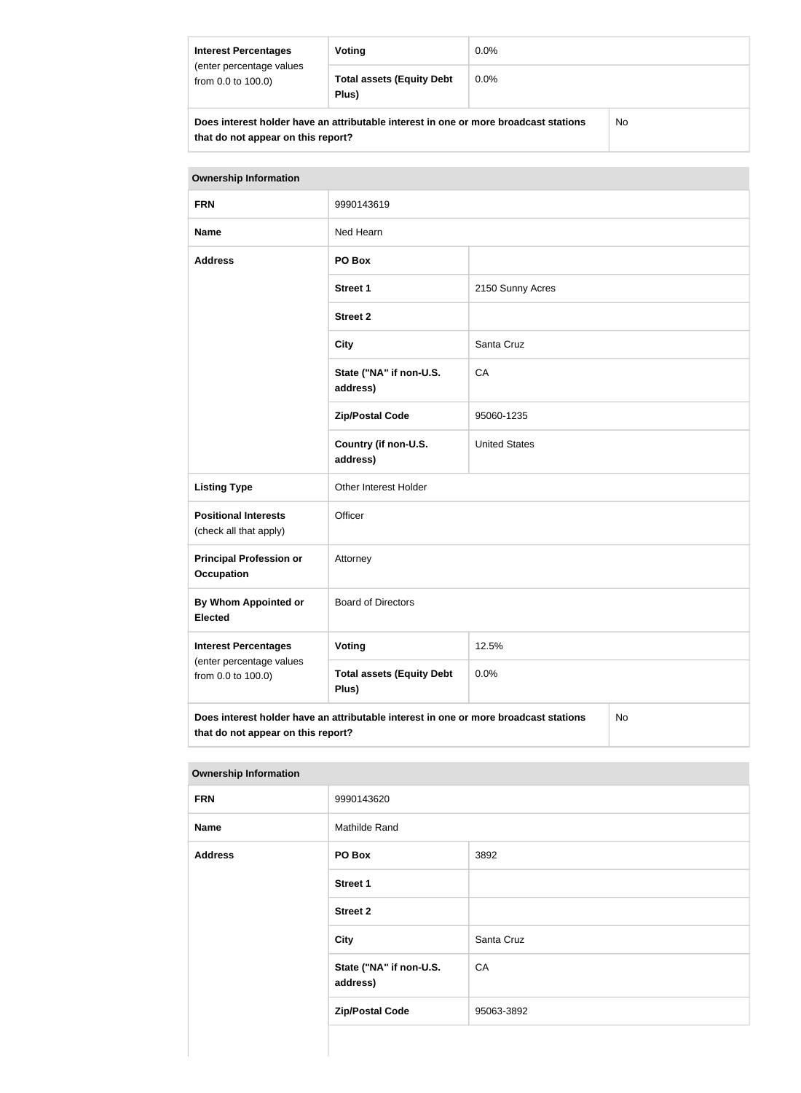| <b>Interest Percentages</b>                                                                 | Voting | $0.0\%$ |  |
|---------------------------------------------------------------------------------------------|--------|---------|--|
| (enter percentage values<br><b>Total assets (Equity Debt</b><br>from 0.0 to 100.0)<br>Plus) |        | $0.0\%$ |  |
| No<br>Does interest holder have an attributable interest in one or more broadcast stations  |        |         |  |

**that do not appear on this report?**

| <b>Ownership Information</b>                                    |                                                                                      |                      |           |  |
|-----------------------------------------------------------------|--------------------------------------------------------------------------------------|----------------------|-----------|--|
| <b>FRN</b>                                                      | 9990143619                                                                           |                      |           |  |
| <b>Name</b>                                                     | Ned Hearn                                                                            |                      |           |  |
| <b>Address</b>                                                  | PO Box                                                                               |                      |           |  |
|                                                                 | <b>Street 1</b>                                                                      | 2150 Sunny Acres     |           |  |
|                                                                 | <b>Street 2</b>                                                                      |                      |           |  |
|                                                                 | <b>City</b>                                                                          | Santa Cruz           |           |  |
|                                                                 | State ("NA" if non-U.S.<br>address)                                                  | CA                   |           |  |
|                                                                 | <b>Zip/Postal Code</b>                                                               | 95060-1235           |           |  |
|                                                                 | Country (if non-U.S.<br>address)                                                     | <b>United States</b> |           |  |
| <b>Listing Type</b>                                             | Other Interest Holder                                                                |                      |           |  |
| <b>Positional Interests</b><br>(check all that apply)           | Officer                                                                              |                      |           |  |
| <b>Principal Profession or</b><br>Attorney<br><b>Occupation</b> |                                                                                      |                      |           |  |
| <b>By Whom Appointed or</b><br><b>Elected</b>                   | <b>Board of Directors</b>                                                            |                      |           |  |
| <b>Interest Percentages</b>                                     | <b>Voting</b>                                                                        | 12.5%                |           |  |
| (enter percentage values<br>from 0.0 to 100.0)                  | <b>Total assets (Equity Debt</b><br>Plus)                                            | 0.0%                 |           |  |
| that do not appear on this report?                              | Does interest holder have an attributable interest in one or more broadcast stations |                      | <b>No</b> |  |

| <b>Ownership Information</b> |                                     |            |  |  |
|------------------------------|-------------------------------------|------------|--|--|
| <b>FRN</b>                   | 9990143620                          |            |  |  |
| <b>Name</b>                  | Mathilde Rand                       |            |  |  |
| <b>Address</b>               | PO Box                              | 3892       |  |  |
|                              | <b>Street 1</b>                     |            |  |  |
|                              | <b>Street 2</b>                     |            |  |  |
|                              | City                                | Santa Cruz |  |  |
|                              | State ("NA" if non-U.S.<br>address) | CA         |  |  |
|                              | <b>Zip/Postal Code</b>              | 95063-3892 |  |  |
|                              |                                     |            |  |  |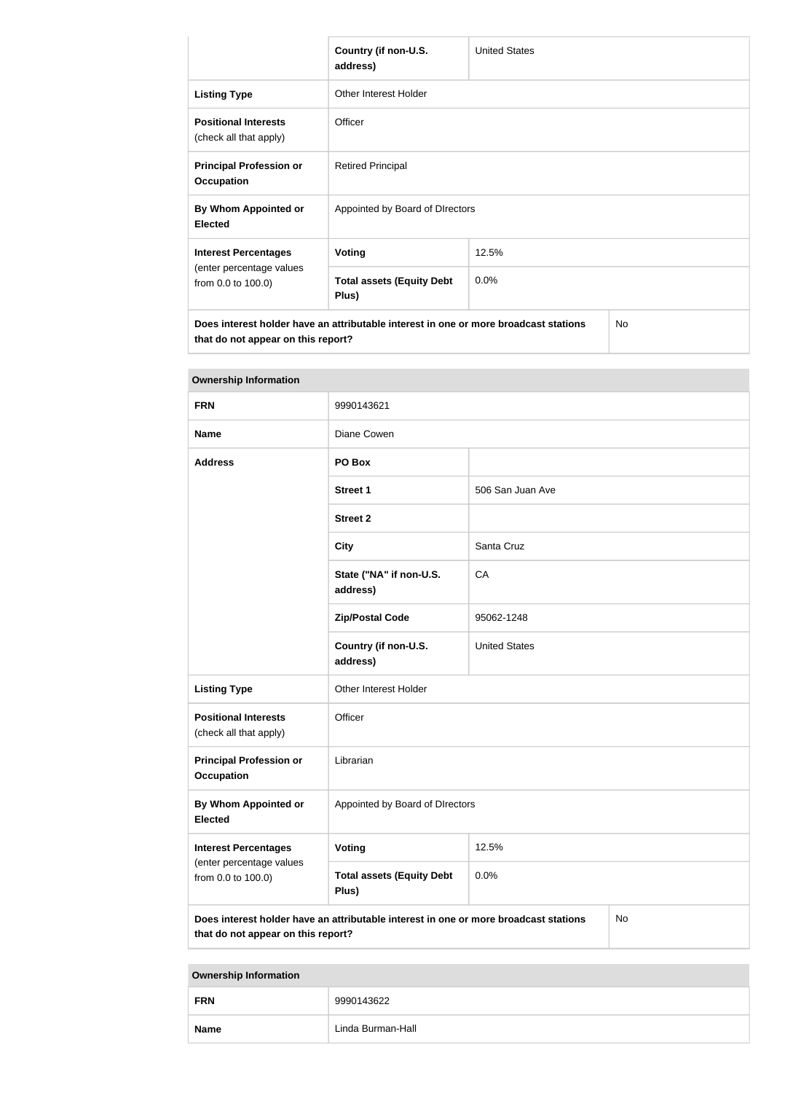|                                                                                                                                         | Country (if non-U.S.<br>address)          | <b>United States</b> |  |  |
|-----------------------------------------------------------------------------------------------------------------------------------------|-------------------------------------------|----------------------|--|--|
| <b>Listing Type</b>                                                                                                                     | Other Interest Holder                     |                      |  |  |
| <b>Positional Interests</b><br>(check all that apply)                                                                                   | Officer                                   |                      |  |  |
| <b>Principal Profession or</b><br><b>Occupation</b>                                                                                     | <b>Retired Principal</b>                  |                      |  |  |
| By Whom Appointed or<br><b>Elected</b>                                                                                                  | Appointed by Board of DIrectors           |                      |  |  |
| <b>Interest Percentages</b>                                                                                                             | Voting                                    | 12.5%                |  |  |
| (enter percentage values<br>from 0.0 to 100.0)                                                                                          | <b>Total assets (Equity Debt</b><br>Plus) | 0.0%                 |  |  |
| Does interest holder have an attributable interest in one or more broadcast stations<br><b>No</b><br>that do not appear on this report? |                                           |                      |  |  |

| <b>Ownership Information</b>                                                                                                     |                                           |                      |  |  |
|----------------------------------------------------------------------------------------------------------------------------------|-------------------------------------------|----------------------|--|--|
| <b>FRN</b>                                                                                                                       | 9990143621                                |                      |  |  |
| <b>Name</b>                                                                                                                      | Diane Cowen                               |                      |  |  |
| <b>Address</b>                                                                                                                   | PO Box                                    |                      |  |  |
|                                                                                                                                  | <b>Street 1</b>                           | 506 San Juan Ave     |  |  |
|                                                                                                                                  | <b>Street 2</b>                           |                      |  |  |
|                                                                                                                                  | <b>City</b>                               | Santa Cruz           |  |  |
|                                                                                                                                  | State ("NA" if non-U.S.<br>address)       | CA                   |  |  |
|                                                                                                                                  | <b>Zip/Postal Code</b>                    | 95062-1248           |  |  |
|                                                                                                                                  | Country (if non-U.S.<br>address)          | <b>United States</b> |  |  |
| <b>Listing Type</b>                                                                                                              | Other Interest Holder                     |                      |  |  |
| <b>Positional Interests</b><br>(check all that apply)                                                                            | Officer                                   |                      |  |  |
| <b>Principal Profession or</b><br><b>Occupation</b>                                                                              | Librarian                                 |                      |  |  |
| By Whom Appointed or<br><b>Elected</b>                                                                                           | Appointed by Board of DIrectors           |                      |  |  |
| <b>Interest Percentages</b>                                                                                                      | <b>Voting</b>                             | 12.5%                |  |  |
| (enter percentage values<br>from 0.0 to 100.0)                                                                                   | <b>Total assets (Equity Debt</b><br>Plus) | 0.0%                 |  |  |
| Does interest holder have an attributable interest in one or more broadcast stations<br>No<br>that do not appear on this report? |                                           |                      |  |  |

**Ownership Information**

| <b>FRN</b>  | 9990143622        |
|-------------|-------------------|
| <b>Name</b> | Linda Burman-Hall |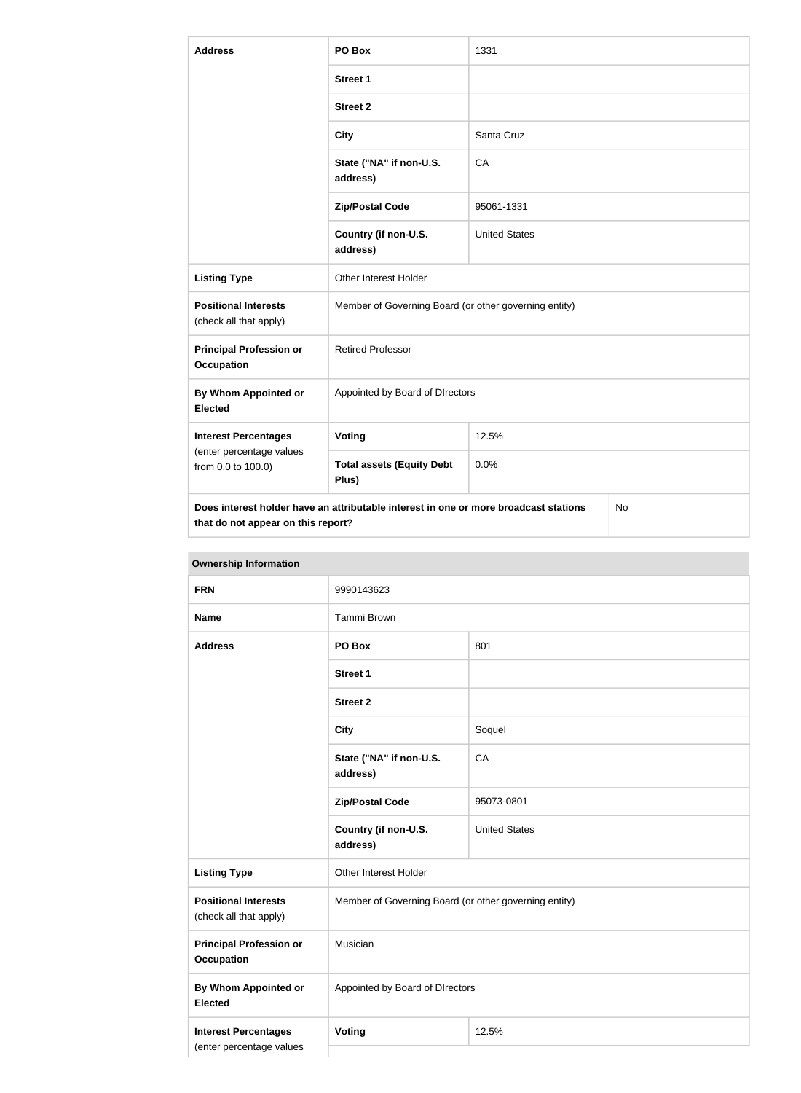| <b>Address</b>                                                                | PO Box                                                                               | 1331                 |     |  |
|-------------------------------------------------------------------------------|--------------------------------------------------------------------------------------|----------------------|-----|--|
|                                                                               | <b>Street 1</b>                                                                      |                      |     |  |
|                                                                               | <b>Street 2</b>                                                                      |                      |     |  |
|                                                                               | <b>City</b>                                                                          | Santa Cruz           |     |  |
|                                                                               | State ("NA" if non-U.S.<br>address)                                                  | CA                   |     |  |
|                                                                               | <b>Zip/Postal Code</b>                                                               | 95061-1331           |     |  |
|                                                                               | Country (if non-U.S.<br>address)                                                     | <b>United States</b> |     |  |
| <b>Listing Type</b>                                                           | Other Interest Holder                                                                |                      |     |  |
| <b>Positional Interests</b><br>(check all that apply)                         | Member of Governing Board (or other governing entity)                                |                      |     |  |
| <b>Principal Profession or</b><br><b>Occupation</b>                           | <b>Retired Professor</b>                                                             |                      |     |  |
| <b>By Whom Appointed or</b><br><b>Elected</b>                                 | Appointed by Board of DIrectors                                                      |                      |     |  |
| <b>Interest Percentages</b><br>(enter percentage values<br>from 0.0 to 100.0) | Voting                                                                               | 12.5%                |     |  |
|                                                                               | <b>Total assets (Equity Debt</b><br>Plus)                                            | 0.0%                 |     |  |
| that do not appear on this report?                                            | Does interest holder have an attributable interest in one or more broadcast stations |                      | No. |  |

| <b>FRN</b>                                              | 9990143623                                            |                      |  |
|---------------------------------------------------------|-------------------------------------------------------|----------------------|--|
| <b>Name</b>                                             | Tammi Brown                                           |                      |  |
| <b>Address</b>                                          | PO Box                                                | 801                  |  |
|                                                         | <b>Street 1</b>                                       |                      |  |
|                                                         | <b>Street 2</b>                                       |                      |  |
|                                                         | <b>City</b>                                           | Soquel               |  |
|                                                         | State ("NA" if non-U.S.<br>address)                   | CA                   |  |
|                                                         | <b>Zip/Postal Code</b>                                | 95073-0801           |  |
|                                                         | Country (if non-U.S.<br>address)                      | <b>United States</b> |  |
| <b>Listing Type</b>                                     | Other Interest Holder                                 |                      |  |
| <b>Positional Interests</b><br>(check all that apply)   | Member of Governing Board (or other governing entity) |                      |  |
| <b>Principal Profession or</b><br><b>Occupation</b>     | Musician                                              |                      |  |
| <b>By Whom Appointed or</b><br><b>Elected</b>           | Appointed by Board of DIrectors                       |                      |  |
| <b>Interest Percentages</b><br>(enter percentage values | Voting                                                | 12.5%                |  |

### **Ownership Information**

L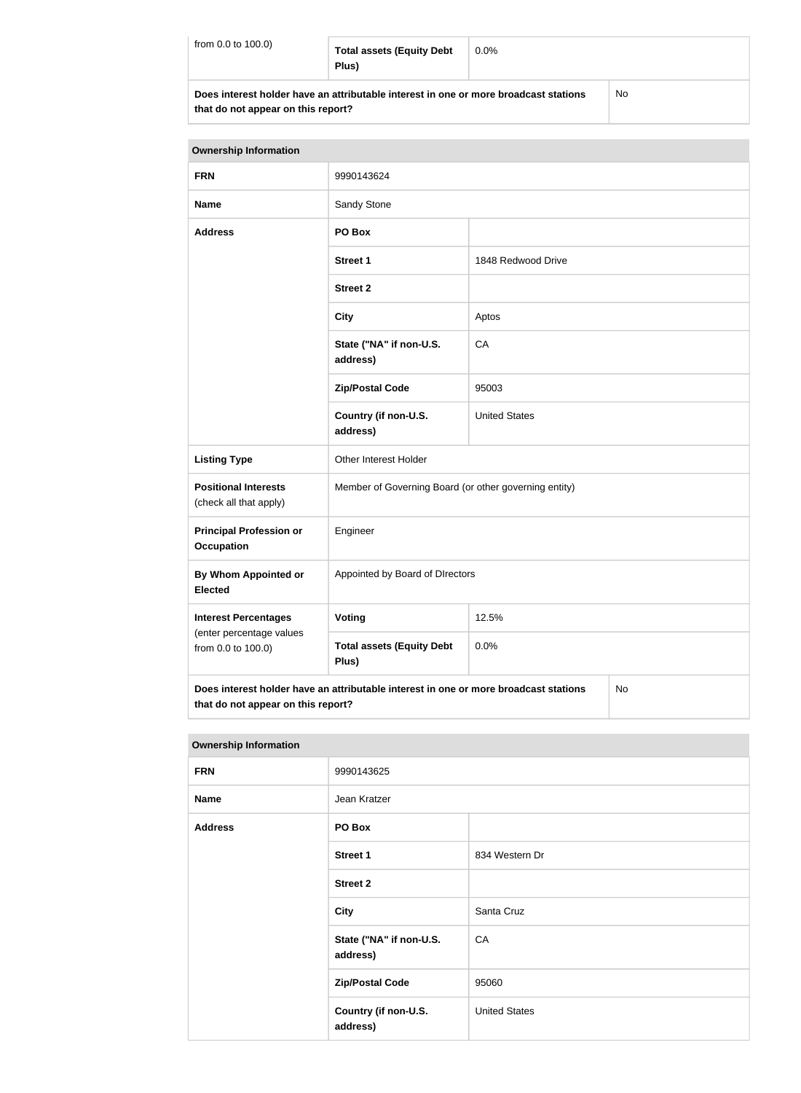| from $0.0$ to $100.0$ ) | <b>Total assets (Equity Debt</b><br>Plus)                                            | $0.0\%$ |    |
|-------------------------|--------------------------------------------------------------------------------------|---------|----|
|                         | Does interest holder have an attributable interest in one or more broadcast stations |         | No |

|  |  | that do not appear on this report? |
|--|--|------------------------------------|
|  |  |                                    |

| <b>Ownership Information</b>                                                  |                                                                                      |                      |    |
|-------------------------------------------------------------------------------|--------------------------------------------------------------------------------------|----------------------|----|
| <b>FRN</b>                                                                    | 9990143624                                                                           |                      |    |
| <b>Name</b>                                                                   | Sandy Stone                                                                          |                      |    |
| <b>Address</b>                                                                | PO Box                                                                               |                      |    |
|                                                                               | <b>Street 1</b>                                                                      | 1848 Redwood Drive   |    |
|                                                                               | <b>Street 2</b>                                                                      |                      |    |
|                                                                               | <b>City</b>                                                                          | Aptos                |    |
|                                                                               | State ("NA" if non-U.S.<br>address)                                                  | CA                   |    |
|                                                                               | <b>Zip/Postal Code</b>                                                               | 95003                |    |
|                                                                               | Country (if non-U.S.<br>address)                                                     | <b>United States</b> |    |
| <b>Listing Type</b>                                                           | Other Interest Holder                                                                |                      |    |
| <b>Positional Interests</b><br>(check all that apply)                         | Member of Governing Board (or other governing entity)                                |                      |    |
| <b>Principal Profession or</b><br><b>Occupation</b>                           | Engineer                                                                             |                      |    |
| By Whom Appointed or<br><b>Elected</b>                                        | Appointed by Board of DIrectors                                                      |                      |    |
| <b>Interest Percentages</b><br>(enter percentage values<br>from 0.0 to 100.0) | Voting                                                                               | 12.5%                |    |
|                                                                               | <b>Total assets (Equity Debt</b><br>Plus)                                            | 0.0%                 |    |
| that do not appear on this report?                                            | Does interest holder have an attributable interest in one or more broadcast stations |                      | No |

| <b>Ownership Information</b> |                                     |                      |  |
|------------------------------|-------------------------------------|----------------------|--|
| <b>FRN</b>                   | 9990143625                          |                      |  |
| <b>Name</b>                  | Jean Kratzer                        |                      |  |
| <b>Address</b>               | PO Box                              |                      |  |
|                              | <b>Street 1</b>                     | 834 Western Dr       |  |
|                              | <b>Street 2</b>                     |                      |  |
|                              | Santa Cruz<br><b>City</b>           |                      |  |
|                              | State ("NA" if non-U.S.<br>address) | CA                   |  |
|                              | <b>Zip/Postal Code</b>              | 95060                |  |
|                              | Country (if non-U.S.<br>address)    | <b>United States</b> |  |